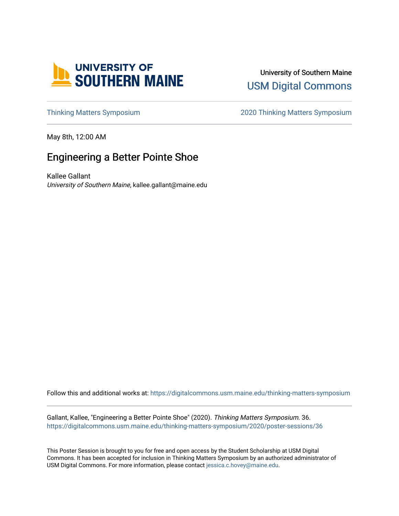

University of Southern Maine [USM Digital Commons](https://digitalcommons.usm.maine.edu/) 

[Thinking Matters Symposium](https://digitalcommons.usm.maine.edu/thinking-matters-symposium) [2020 Thinking Matters Symposium](https://digitalcommons.usm.maine.edu/thinking-matters-symposium/2020) 

May 8th, 12:00 AM

# Engineering a Better Pointe Shoe

Kallee Gallant University of Southern Maine, kallee.gallant@maine.edu

Follow this and additional works at: [https://digitalcommons.usm.maine.edu/thinking-matters-symposium](https://digitalcommons.usm.maine.edu/thinking-matters-symposium?utm_source=digitalcommons.usm.maine.edu%2Fthinking-matters-symposium%2F2020%2Fposter-sessions%2F36&utm_medium=PDF&utm_campaign=PDFCoverPages) 

Gallant, Kallee, "Engineering a Better Pointe Shoe" (2020). Thinking Matters Symposium. 36. [https://digitalcommons.usm.maine.edu/thinking-matters-symposium/2020/poster-sessions/36](https://digitalcommons.usm.maine.edu/thinking-matters-symposium/2020/poster-sessions/36?utm_source=digitalcommons.usm.maine.edu%2Fthinking-matters-symposium%2F2020%2Fposter-sessions%2F36&utm_medium=PDF&utm_campaign=PDFCoverPages) 

This Poster Session is brought to you for free and open access by the Student Scholarship at USM Digital Commons. It has been accepted for inclusion in Thinking Matters Symposium by an authorized administrator of USM Digital Commons. For more information, please contact [jessica.c.hovey@maine.edu](mailto:ian.fowler@maine.edu).